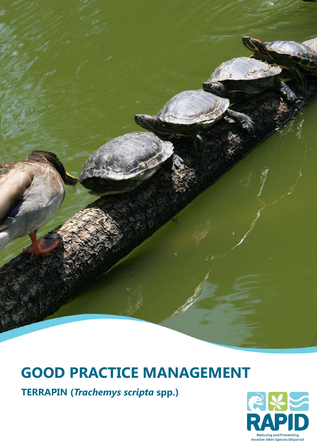# **GOOD PRACTICE MANAGEMENT**

**TERRAPIN (***Trachemys scripta* **spp.)**

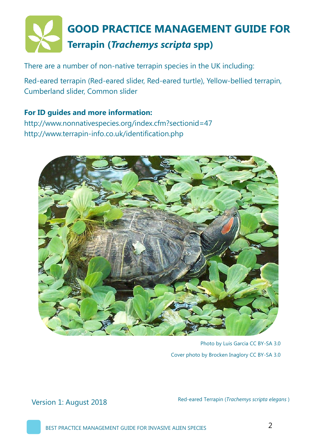

There are a number of non-native terrapin species in the UK including:

Red-eared terrapin (Red-eared slider, Red-eared turtle), Yellow-bellied terrapin, Cumberland slider, Common slider

#### **For ID guides and more information:**

http://www.nonnativespecies.org/index.cfm?sectionid=47 http://www.terrapin-info.co.uk/identification.php



Cover photo by Brocken Inaglory CC BY-SA 3.0 Photo by Luis Garcia CC BY-SA 3.0

Version 1: August 2018

Red-eared Terrapin (*Trachemys scripta elegans* )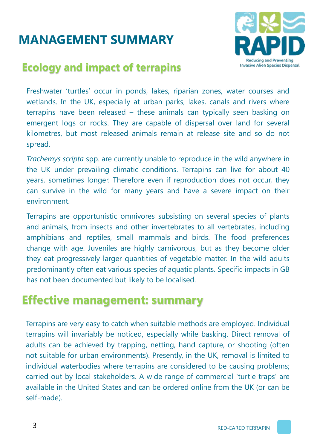## **MANAGEMENT SUMMARY**



### **Ecology and impact of terrapins**

Freshwater 'turtles' occur in ponds, lakes, riparian zones, water courses and wetlands. In the UK, especially at urban parks, lakes, canals and rivers where terrapins have been released – these animals can typically seen basking on emergent logs or rocks. They are capable of dispersal over land for several kilometres, but most released animals remain at release site and so do not spread.

*Trachemys scripta* spp. are currently unable to reproduce in the wild anywhere in the UK under prevailing climatic conditions. Terrapins can live for about 40 years, sometimes longer. Therefore even if reproduction does not occur, they can survive in the wild for many years and have a severe impact on their environment.

Terrapins are opportunistic omnivores subsisting on several species of plants and animals, from insects and other invertebrates to all vertebrates, including amphibians and reptiles, small mammals and birds. The food preferences change with age. Juveniles are highly carnivorous, but as they become older they eat progressively larger quantities of vegetable matter. In the wild adults predominantly often eat various species of aquatic plants. Specific impacts in GB has not been documented but likely to be localised.

### **Effective management: summary**

Terrapins are very easy to catch when suitable methods are employed. Individual terrapins will invariably be noticed, especially while basking. Direct removal of adults can be achieved by trapping, netting, hand capture, or shooting (often not suitable for urban environments). Presently, in the UK, removal is limited to individual waterbodies where terrapins are considered to be causing problems; carried out by local stakeholders. A wide range of commercial 'turtle traps' are available in the United States and can be ordered online from the UK (or can be self-made).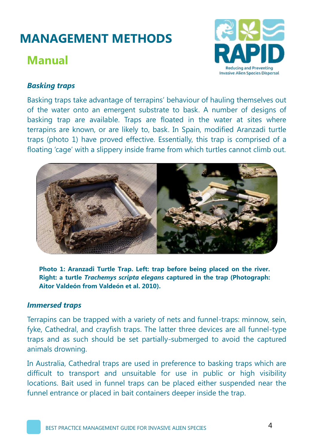## **MANAGEMENT METHODS**

### **Manual**



#### *Basking traps*

Basking traps take advantage of terrapins' behaviour of hauling themselves out of the water onto an emergent substrate to bask. A number of designs of basking trap are available. Traps are floated in the water at sites where terrapins are known, or are likely to, bask. In Spain, modified Aranzadi turtle traps (photo 1) have proved effective. Essentially, this trap is comprised of a floating 'cage' with a slippery inside frame from which turtles cannot climb out.



**Photo 1: Aranzadi Turtle Trap. Left: trap before being placed on the river. Right: a turtle** *Trachemys scripta elegans* **captured in the trap (Photograph: Aitor Valdeón from Valdeón et al. 2010).**

#### *Immersed traps*

Terrapins can be trapped with a variety of nets and funnel-traps: minnow, sein, fyke, Cathedral, and crayfish traps. The latter three devices are all funnel-type traps and as such should be set partially-submerged to avoid the captured animals drowning.

In Australia, Cathedral traps are used in preference to basking traps which are difficult to transport and unsuitable for use in public or high visibility locations. Bait used in funnel traps can be placed either suspended near the funnel entrance or placed in bait containers deeper inside the trap.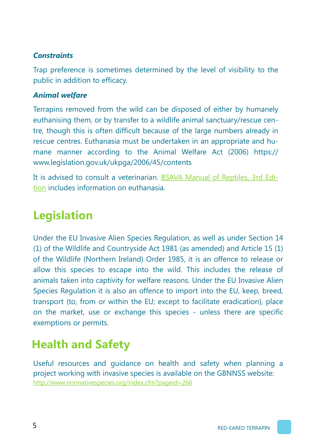#### *Constraints*

Trap preference is sometimes determined by the level of visibility to the public in addition to efficacy.

#### *Animal welfare*

Terrapins removed from the wild can be disposed of either by humanely euthanising them, or by transfer to a wildlife animal sanctuary/rescue centre, though this is often difficult because of the large numbers already in rescue centres. Euthanasia must be undertaken in an appropriate and humane manner according to the Animal Welfare Act (2006) https:// www.legislation.gov.uk/ukpga/2006/45/contents

It is advised to consult a veterinarian. [BSAVA Manual of Reptiles, 3rd Edi](https://www.wiley.com/en-gb/BSAVA+Manual+of+Reptiles%2C+3rd+edition-p-9781905319794)[tion](https://www.wiley.com/en-gb/BSAVA+Manual+of+Reptiles%2C+3rd+edition-p-9781905319794) includes information on euthanasia.

### **Legislation**

Under the EU Invasive Alien Species Regulation, as well as under Section 14 (1) of the Wildlife and Countryside Act 1981 (as amended) and Article 15 (1) of the Wildlife (Northern Ireland) Order 1985, it is an offence to release or allow this species to escape into the wild. This includes the release of animals taken into captivity for welfare reasons. Under the EU Invasive Alien Species Regulation it is also an offence to import into the EU, keep, breed, transport (to, from or within the EU; except to facilitate eradication), place on the market, use or exchange this species - unless there are specific exemptions or permits.

## **Health and Safety**

Useful resources and guidance on health and safety when planning a project working with invasive species is available on the GBNNSS website: <http://www.nonnativespecies.org/index.cfm?pageid=266>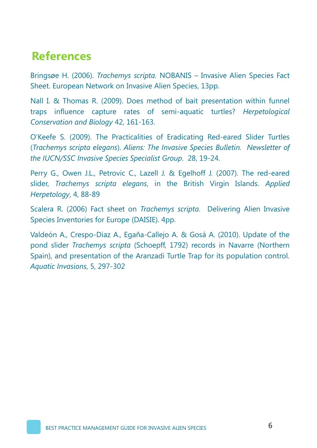### **References**

Bringsøe H. (2006). *Trachemys scripta.* NOBANIS – Invasive Alien Species Fact Sheet. European Network on Invasive Alien Species, 13pp.

Nall I. & Thomas R. (2009). Does method of bait presentation within funnel traps influence capture rates of semi-aquatic turtles? *Herpetological Conservation and Biology* 42, 161-163.

O'Keefe S. (2009). The Practicalities of Eradicating Red-eared Slider Turtles (*Trachemys scripta elegans*). *Aliens: The Invasive Species Bulletin. Newsletter of the IUCN/SSC Invasive Species Specialist Group*. 28, 19-24.

[Perry G., Owen J.L., Petrovic C., Lazell J. & Egelhoff J. \(2007\). The red-eared](https://www.conservationevidence.com/individual-study/5524)  slider, *Trachemys scripta elegans*[, in the British Virgin Islands.](https://www.conservationevidence.com/individual-study/5524) *Applied [Herpetology](https://www.conservationevidence.com/individual-study/5524)*, 4, 88-89

Scalera R. (2006) Fact sheet on *Trachemys scripta*. Delivering Alien Invasive Species Inventories for Europe (DAISIE). 4pp.

[Valdeón A., Crespo-Diaz A., Egaña-Callejo A. & Gosá A. \(2010\). Update of the](https://www.conservationevidence.com/individual-study/5528)  pond slider *Trachemys scripta* [\(Schoepff, 1792\) records in Navarre \(Northern](https://www.conservationevidence.com/individual-study/5528)  [Spain\), and presentation of the Aranzadi Turtle Trap for its population control.](https://www.conservationevidence.com/individual-study/5528)  *[Aquatic Invasions](https://www.conservationevidence.com/individual-study/5528)*, 5, 297-302